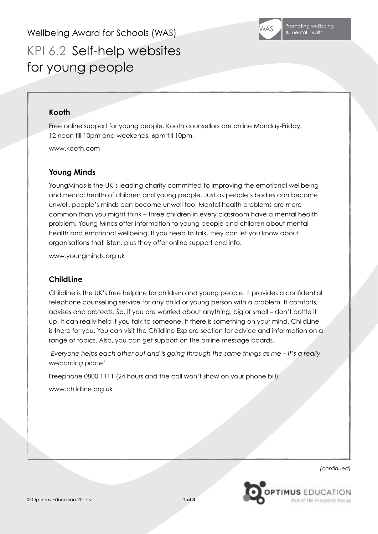Wellbeing Award for Schools (WAS)



KPI 6.2 Self-help websites for young people

## **Kooth**

Free online support for young people. Kooth counsellors are online Monday-Friday, 12 noon till 10pm and weekends, 6pm till 10pm.

www.kooth.com

## **Young Minds**

YoungMinds is the UK's leading charity committed to improving the emotional wellbeing and mental health of children and young people. Just as people's bodies can become unwell, people's minds can become unwell too. Mental health problems are more common than you might think – three children in every classroom have a mental health problem. Young Minds offer information to young people and children about mental health and emotional wellbeing. If you need to talk, they can let you know about organisations that listen, plus they offer online support and info.

www.youngminds.org.uk

## **ChildLine**

Childline is the UK's free helpline for children and young people. It provides a confidential telephone counselling service for any child or young person with a problem. It comforts, advises and protects. So, if you are worried about anything, big or small – don't bottle it up. It can really help if you talk to someone. If there is something on your mind, ChildLine is there for you. You can visit the Childline Explore section for advice and information on a range of topics. Also, you can get support on the online message boards.

*'Everyone helps each other out and is going through the same things as me – it's a really welcoming place'*

Freephone 0800 1111 (24 hours and the call won't show on your phone bill)

www.childline.org.uk

*(continued)*

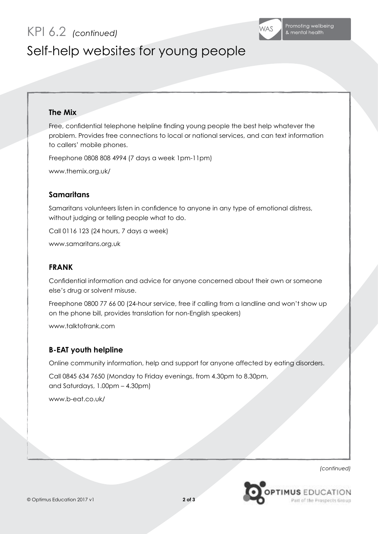KPI 6.2 *(continued)*



# Self-help websites for young people

### **The Mix**

Free, confidential telephone helpline finding young people the best help whatever the problem. Provides free connections to local or national services, and can text information to callers' mobile phones.

Freephone 0808 808 4994 (7 days a week 1pm-11pm)

www.themix.org.uk/

### **Samaritans**

Samaritans volunteers listen in confidence to anyone in any type of emotional distress, without judging or telling people what to do.

Call 0116 123 (24 hours, 7 days a week)

www.samaritans.org.uk

### **FRANK**

Confidential information and advice for anyone concerned about their own or someone else's drug or solvent misuse.

Freephone 0800 77 66 00 (24-hour service, free if calling from a landline and won't show up on the phone bill, provides translation for non-English speakers)

www.talktofrank.com

## **B-EAT youth helpline**

Online community information, help and support for anyone affected by eating disorders.

Call 0845 634 7650 (Monday to Friday evenings, from 4.30pm to 8.30pm, and Saturdays, 1.00pm – 4.30pm)

www.b-eat.co.uk/

*(continued)*